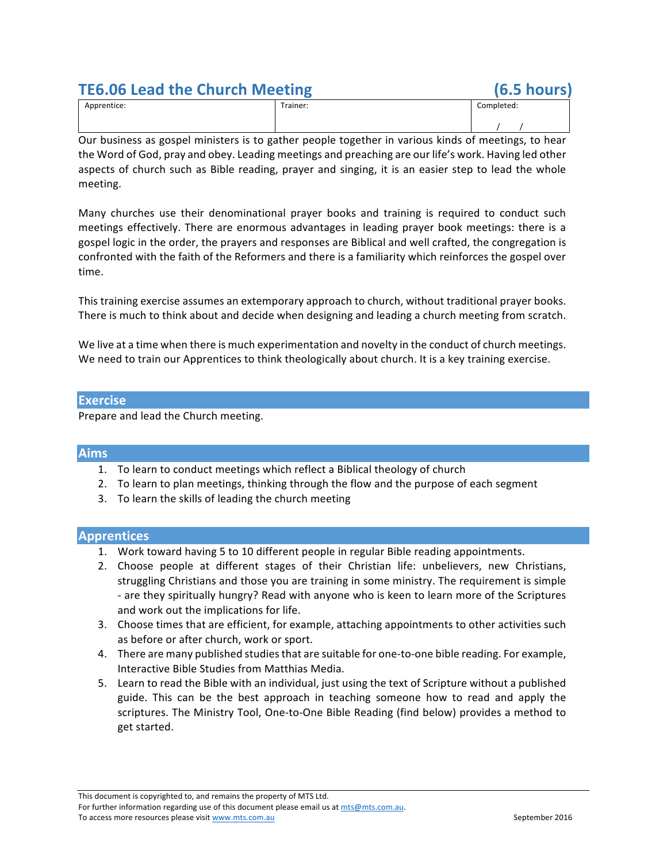# **TE6.06 Lead the Church Meeting (6.5 hours)**

|             | _        |            |  |
|-------------|----------|------------|--|
| Apprentice: | Trainer: | Completed: |  |
|             |          |            |  |

Our business as gospel ministers is to gather people together in various kinds of meetings, to hear the Word of God, pray and obey. Leading meetings and preaching are our life's work. Having led other aspects of church such as Bible reading, prayer and singing, it is an easier step to lead the whole meeting.

Many churches use their denominational prayer books and training is required to conduct such meetings effectively. There are enormous advantages in leading prayer book meetings: there is a gospel logic in the order, the prayers and responses are Biblical and well crafted, the congregation is confronted with the faith of the Reformers and there is a familiarity which reinforces the gospel over time.

This training exercise assumes an extemporary approach to church, without traditional prayer books. There is much to think about and decide when designing and leading a church meeting from scratch.

We live at a time when there is much experimentation and novelty in the conduct of church meetings. We need to train our Apprentices to think theologically about church. It is a key training exercise.

#### **Exercise**

Prepare and lead the Church meeting.

### **Aims**

- 1. To learn to conduct meetings which reflect a Biblical theology of church
- 2. To learn to plan meetings, thinking through the flow and the purpose of each segment
- 3. To learn the skills of leading the church meeting

### **Apprentices**

- 1. Work toward having 5 to 10 different people in regular Bible reading appointments.
- 2. Choose people at different stages of their Christian life: unbelievers, new Christians, struggling Christians and those you are training in some ministry. The requirement is simple - are they spiritually hungry? Read with anyone who is keen to learn more of the Scriptures and work out the implications for life.
- 3. Choose times that are efficient, for example, attaching appointments to other activities such as before or after church, work or sport.
- 4. There are many published studies that are suitable for one-to-one bible reading. For example, Interactive Bible Studies from Matthias Media.
- 5. Learn to read the Bible with an individual, just using the text of Scripture without a published guide. This can be the best approach in teaching someone how to read and apply the scriptures. The Ministry Tool, One-to-One Bible Reading (find below) provides a method to get started.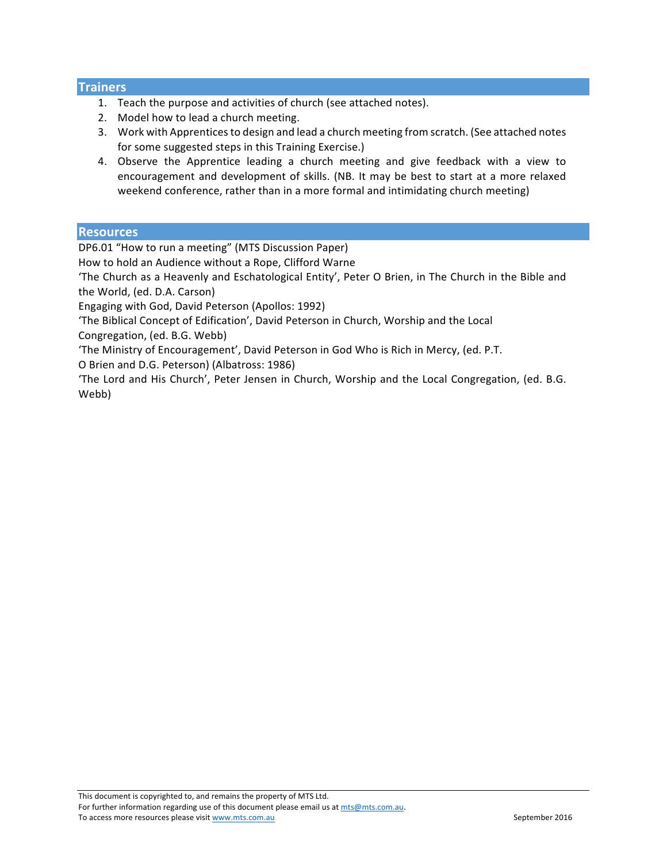# **Trainers**

- 1. Teach the purpose and activities of church (see attached notes).
- 2. Model how to lead a church meeting.
- 3. Work with Apprentices to design and lead a church meeting from scratch. (See attached notes for some suggested steps in this Training Exercise.)
- 4. Observe the Apprentice leading a church meeting and give feedback with a view to encouragement and development of skills. (NB. It may be best to start at a more relaxed weekend conference, rather than in a more formal and intimidating church meeting)

### **Resources**

DP6.01 "How to run a meeting" (MTS Discussion Paper)

How to hold an Audience without a Rope, Clifford Warne

'The Church as a Heavenly and Eschatological Entity', Peter O Brien, in The Church in the Bible and the World, (ed. D.A. Carson)

Engaging with God, David Peterson (Apollos: 1992)

'The Biblical Concept of Edification', David Peterson in Church, Worship and the Local

Congregation, (ed. B.G. Webb)

'The Ministry of Encouragement', David Peterson in God Who is Rich in Mercy, (ed. P.T.

O Brien and D.G. Peterson) (Albatross: 1986)

'The Lord and His Church', Peter Jensen in Church, Worship and the Local Congregation, (ed. B.G. Webb)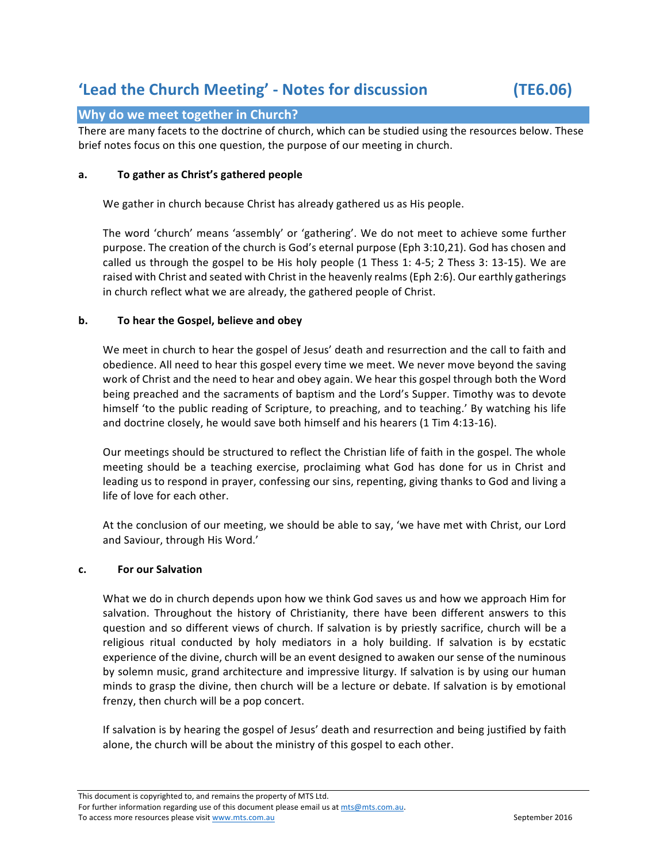# **'Lead the Church Meeting' - Notes for discussion (TE6.06)**

# **Why do we meet together in Church?**

There are many facets to the doctrine of church, which can be studied using the resources below. These brief notes focus on this one question, the purpose of our meeting in church.

#### **a. To gather as Christ's gathered people**

We gather in church because Christ has already gathered us as His people.

The word 'church' means 'assembly' or 'gathering'. We do not meet to achieve some further purpose. The creation of the church is God's eternal purpose (Eph 3:10,21). God has chosen and called us through the gospel to be His holy people  $(1$  Thess 1: 4-5; 2 Thess 3: 13-15). We are raised with Christ and seated with Christ in the heavenly realms (Eph 2:6). Our earthly gatherings in church reflect what we are already, the gathered people of Christ.

#### **b.** To hear the Gospel, believe and obey

We meet in church to hear the gospel of Jesus' death and resurrection and the call to faith and obedience. All need to hear this gospel every time we meet. We never move beyond the saving work of Christ and the need to hear and obey again. We hear this gospel through both the Word being preached and the sacraments of baptism and the Lord's Supper. Timothy was to devote himself 'to the public reading of Scripture, to preaching, and to teaching.' By watching his life and doctrine closely, he would save both himself and his hearers  $(1$  Tim 4:13-16).

Our meetings should be structured to reflect the Christian life of faith in the gospel. The whole meeting should be a teaching exercise, proclaiming what God has done for us in Christ and leading us to respond in prayer, confessing our sins, repenting, giving thanks to God and living a life of love for each other.

At the conclusion of our meeting, we should be able to say, 'we have met with Christ, our Lord and Saviour, through His Word.'

#### **c. For our Salvation**

What we do in church depends upon how we think God saves us and how we approach Him for salvation. Throughout the history of Christianity, there have been different answers to this question and so different views of church. If salvation is by priestly sacrifice, church will be a religious ritual conducted by holy mediators in a holy building. If salvation is by ecstatic experience of the divine, church will be an event designed to awaken our sense of the numinous by solemn music, grand architecture and impressive liturgy. If salvation is by using our human minds to grasp the divine, then church will be a lecture or debate. If salvation is by emotional frenzy, then church will be a pop concert.

If salvation is by hearing the gospel of Jesus' death and resurrection and being justified by faith alone, the church will be about the ministry of this gospel to each other.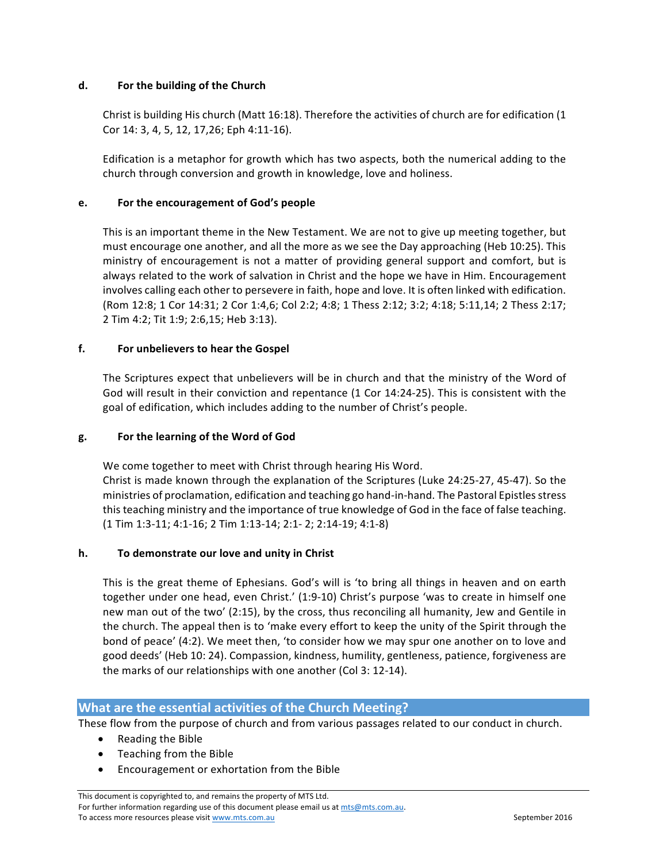### **d.** For the building of the Church

Christ is building His church (Matt 16:18). Therefore the activities of church are for edification (1 Cor 14: 3, 4, 5, 12, 17, 26; Eph 4: 11-16).

Edification is a metaphor for growth which has two aspects, both the numerical adding to the church through conversion and growth in knowledge, love and holiness.

# **e.** For the encouragement of God's people

This is an important theme in the New Testament. We are not to give up meeting together, but must encourage one another, and all the more as we see the Day approaching (Heb 10:25). This ministry of encouragement is not a matter of providing general support and comfort, but is always related to the work of salvation in Christ and the hope we have in Him. Encouragement involves calling each other to persevere in faith, hope and love. It is often linked with edification. (Rom 12:8; 1 Cor 14:31; 2 Cor 1:4,6; Col 2:2; 4:8; 1 Thess 2:12; 3:2; 4:18; 5:11,14; 2 Thess 2:17; 2 Tim 4:2; Tit 1:9; 2:6,15; Heb 3:13).

# **f. For unbelievers to hear the Gospel**

The Scriptures expect that unbelievers will be in church and that the ministry of the Word of God will result in their conviction and repentance (1 Cor 14:24-25). This is consistent with the goal of edification, which includes adding to the number of Christ's people.

# **g. For the learning of the Word of God**

We come together to meet with Christ through hearing His Word. Christ is made known through the explanation of the Scriptures (Luke 24:25-27, 45-47). So the ministries of proclamation, edification and teaching go hand-in-hand. The Pastoral Epistles stress this teaching ministry and the importance of true knowledge of God in the face of false teaching. (1 Tim 1:3-11; 4:1-16; 2 Tim 1:13-14; 2:1- 2; 2:14-19; 4:1-8)

### **h.** To demonstrate our love and unity in Christ

This is the great theme of Ephesians. God's will is 'to bring all things in heaven and on earth together under one head, even Christ.' (1:9-10) Christ's purpose 'was to create in himself one new man out of the two'  $(2:15)$ , by the cross, thus reconciling all humanity, Jew and Gentile in the church. The appeal then is to 'make every effort to keep the unity of the Spirit through the bond of peace' (4:2). We meet then, 'to consider how we may spur one another on to love and good deeds' (Heb 10: 24). Compassion, kindness, humility, gentleness, patience, forgiveness are the marks of our relationships with one another (Col 3: 12-14).

# **What are the essential activities of the Church Meeting?**

These flow from the purpose of church and from various passages related to our conduct in church.

- Reading the Bible
- Teaching from the Bible
- Encouragement or exhortation from the Bible

This document is copyrighted to, and remains the property of MTS Ltd. For further information regarding use of this document please email us at mts@mts.com.au. To access more resources please visit www.mts.com.au September 2016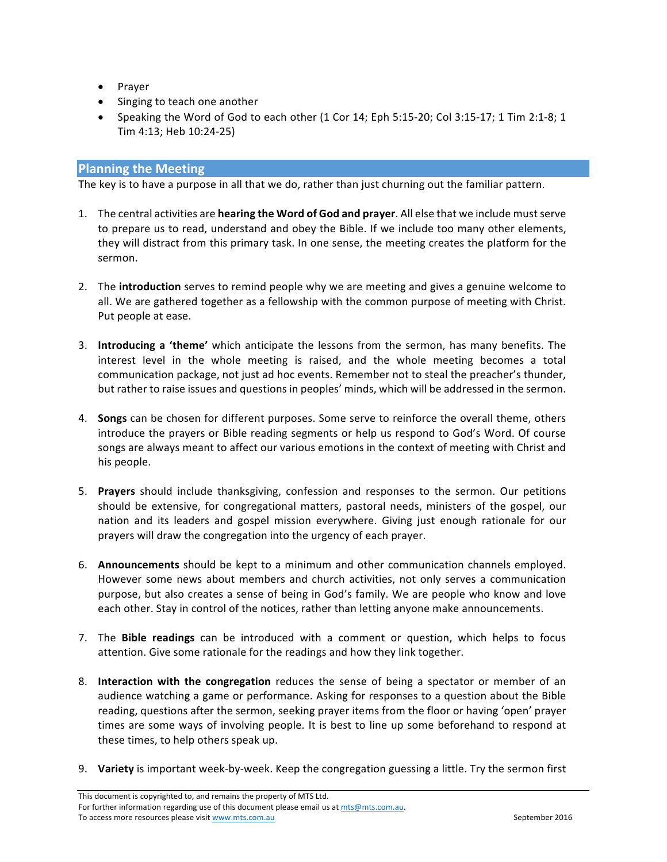- Prayer
- Singing to teach one another
- Speaking the Word of God to each other  $(1$  Cor  $14$ ; Eph 5:15-20; Col 3:15-17; 1 Tim 2:1-8; 1 Tim 4:13; Heb 10:24-25)

# **Planning the Meeting**

The key is to have a purpose in all that we do, rather than just churning out the familiar pattern.

- 1. The central activities are **hearing the Word of God and prayer**. All else that we include must serve to prepare us to read, understand and obey the Bible. If we include too many other elements, they will distract from this primary task. In one sense, the meeting creates the platform for the sermon.
- 2. The **introduction** serves to remind people why we are meeting and gives a genuine welcome to all. We are gathered together as a fellowship with the common purpose of meeting with Christ. Put people at ease.
- 3. **Introducing a 'theme'** which anticipate the lessons from the sermon, has many benefits. The interest level in the whole meeting is raised, and the whole meeting becomes a total communication package, not just ad hoc events. Remember not to steal the preacher's thunder, but rather to raise issues and questions in peoples' minds, which will be addressed in the sermon.
- 4. **Songs** can be chosen for different purposes. Some serve to reinforce the overall theme, others introduce the prayers or Bible reading segments or help us respond to God's Word. Of course songs are always meant to affect our various emotions in the context of meeting with Christ and his people.
- 5. **Prayers** should include thanksgiving, confession and responses to the sermon. Our petitions should be extensive, for congregational matters, pastoral needs, ministers of the gospel, our nation and its leaders and gospel mission everywhere. Giving just enough rationale for our prayers will draw the congregation into the urgency of each prayer.
- 6. **Announcements** should be kept to a minimum and other communication channels employed. However some news about members and church activities, not only serves a communication purpose, but also creates a sense of being in God's family. We are people who know and love each other. Stay in control of the notices, rather than letting anyone make announcements.
- 7. The **Bible readings** can be introduced with a comment or question, which helps to focus attention. Give some rationale for the readings and how they link together.
- 8. **Interaction with the congregation** reduces the sense of being a spectator or member of an audience watching a game or performance. Asking for responses to a question about the Bible reading, questions after the sermon, seeking prayer items from the floor or having 'open' prayer times are some ways of involving people. It is best to line up some beforehand to respond at these times, to help others speak up.
- 9. Variety is important week-by-week. Keep the congregation guessing a little. Try the sermon first